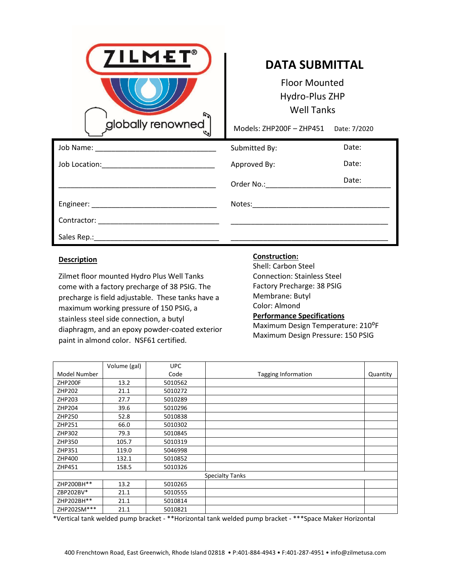

## **DATA SUBMITTAL**

Œwop **, ΖΩΡΙΟ** 

Models: Z190, ZB207, ZB315, ZB250, ZB350, ZB500, ZB450, ZB600

Date:  $f$ 202í

|                                                                                                                                                                                                                                | Submitted By:   | Date: |
|--------------------------------------------------------------------------------------------------------------------------------------------------------------------------------------------------------------------------------|-----------------|-------|
| Job Location:<br><u> 1980 - Johann John Stein, fransk politik (d. 1980)</u>                                                                                                                                                    | Approved By:    | Date: |
|                                                                                                                                                                                                                                | Order No.: No.: | Date: |
| Engineer: National Communication of the Communication of the Communication of the Communication of the Communication of the Communication of the Communication of the Communication of the Communication of the Communication  |                 |       |
| Contractor: the contractor of the contractor of the contractor of the contractor of the contractor of the contractor of the contractor of the contractor of the contractor of the contractor of the contractor of the contract |                 |       |
| Sales Rep.: ______________                                                                                                                                                                                                     |                 |       |

**Construction:**

## **Description**

| <b>DESCHIPHOLI</b>           | <b>Bo-Steel</b><br>00K                       |
|------------------------------|----------------------------------------------|
| Zilmet WOLLOPER              | <b>LIGHTYVWEL</b>                            |
| <b>adaremedepizer</b> e      | <b>AARAN</b>                                 |
| <b>BD 070 70 P00 0 P 3</b>   | ZB190/207/315: 1/2" to 3/4" NPT Stainless    |
|                              | ZB250/350/500: 1" NPT Stainless              |
| <b><i>GDDD @DDP07008</i></b> | ZB450/600: 2" NPT Stainless                  |
| <b>BD BD B00P0870?</b>       | <b>Performance Specifications</b>            |
| Z020276020020020002          | Maximum Design Temperature: see below        |
| <b>@00002PZ0000</b>          | Maximum Design Pressure: see below           |
| 0000000727000                | Test Pressure: 1 5 times Max Design Pressure |

|              | Max Design  | Max Design Pressure |                     |          |
|--------------|-------------|---------------------|---------------------|----------|
| Model Number | Temperature | (primary/secondary) | Tagging Information | Quantity |
| ZB190        | 248 F       | 116/44 psi          |                     |          |
| ZB207        | 248 F       | 145/73 psi          |                     |          |
| ZB315        | 248 F       | 145/73 psi          |                     |          |
| ZB250        | 392 F       | 435/435 psi         |                     |          |
| ZB350        | 392 F       | 435/435 psi         |                     |          |
| ZB500        | 392 F       | 435/435 psi         |                     |          |
| ZB450        | 392 F       | 435/435 psi         |                     |          |
| ZB600        | 230 F       | 431/431 psi         |                     |          |

## Œekveloven  $\partial$  ?

**c**ev